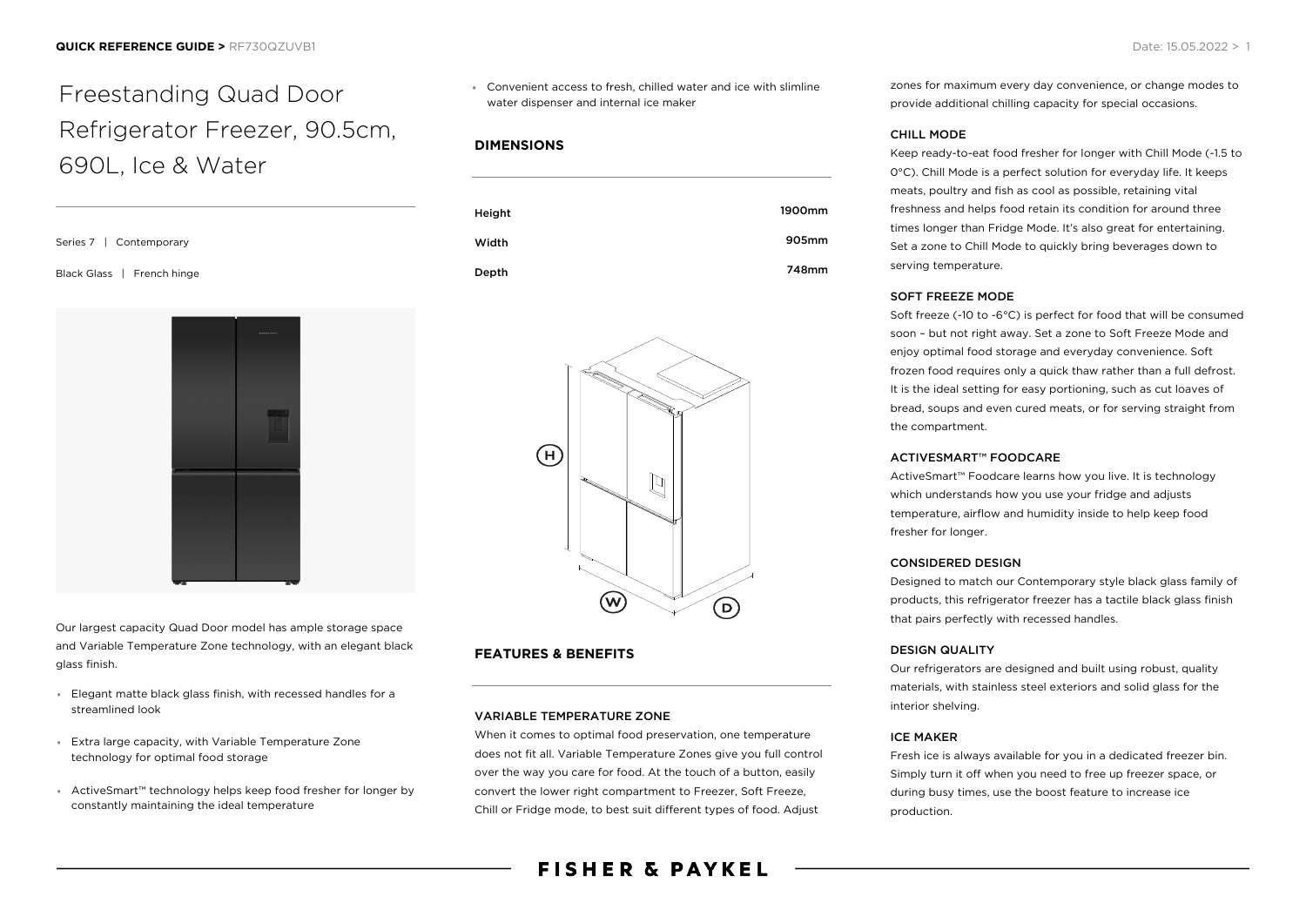# Freestanding Quad Door Refrigerator Freezer, 90.5cm, 690L, Ice & Water

Series 7 | Contemporary Black Glass | French hinge



Our largest capacity Quad Door model has ample storage space and Variable Temperature Zone technology, with an elegant black glass finish.

- Elegant matte black glass finish, with recessed handles for a streamlined look
- Extra large capacity, with Variable Temperature Zone technology for optimal food storage
- ActiveSmart™ technology helps keep food fresher for longer by constantly maintaining the ideal temperature

Convenient access to fresh, chilled water and ice with slimline water dispenser and internal ice maker

## **DIMENSIONS**





# **FEATURES & BENEFITS**

#### VARIABLE TEMPERATURE ZONE

When it comes to optimal food preservation, one temperature does not fit all. Variable Temperature Zones give you full control over the way you care for food. At the touch of a button, easily convert the lower right compartment to Freezer, Soft Freeze, Chill or Fridge mode, to best suit different types of food. Adjust

zones for maximum every day convenience, or change modes to provide additional chilling capacity for special occasions.

#### CHILL MODE

Keep ready-to-eat food fresher for longer with Chill Mode (-1.5 to 0°C). Chill Mode is a perfect solution for everyday life. It keeps meats, poultry and fish as cool as possible, retaining vital freshness and helps food retain its condition for around three times longer than Fridge Mode. It's also great for entertaining. Set a zone to Chill Mode to quickly bring beverages down to serving temperature.

#### SOFT FREEZE MODE

Soft freeze (-10 to -6°C) is perfect for food that will be consumed soon – but not right away. Set a zone to Soft Freeze Mode and enjoy optimal food storage and everyday convenience. Soft frozen food requires only a quick thaw rather than a full defrost. It is the ideal setting for easy portioning, such as cut loaves of bread, soups and even cured meats, or for serving straight from the compartment.

#### ACTIVESMART™ FOODCARE

ActiveSmart™ Foodcare learns how you live. It is technology which understands how you use your fridge and adjusts temperature, airflow and humidity inside to help keep food fresher for longer.

#### CONSIDERED DESIGN

Designed to match our Contemporary style black glass family of products, this refrigerator freezer has a tactile black glass finish that pairs perfectly with recessed handles.

#### DESIGN QUALITY

Our refrigerators are designed and built using robust, quality materials, with stainless steel exteriors and solid glass for the interior shelving.

#### ICE MAKER

Fresh ice is always available for you in a dedicated freezer bin. Simply turn it off when you need to free up freezer space, or during busy times, use the boost feature to increase ice production.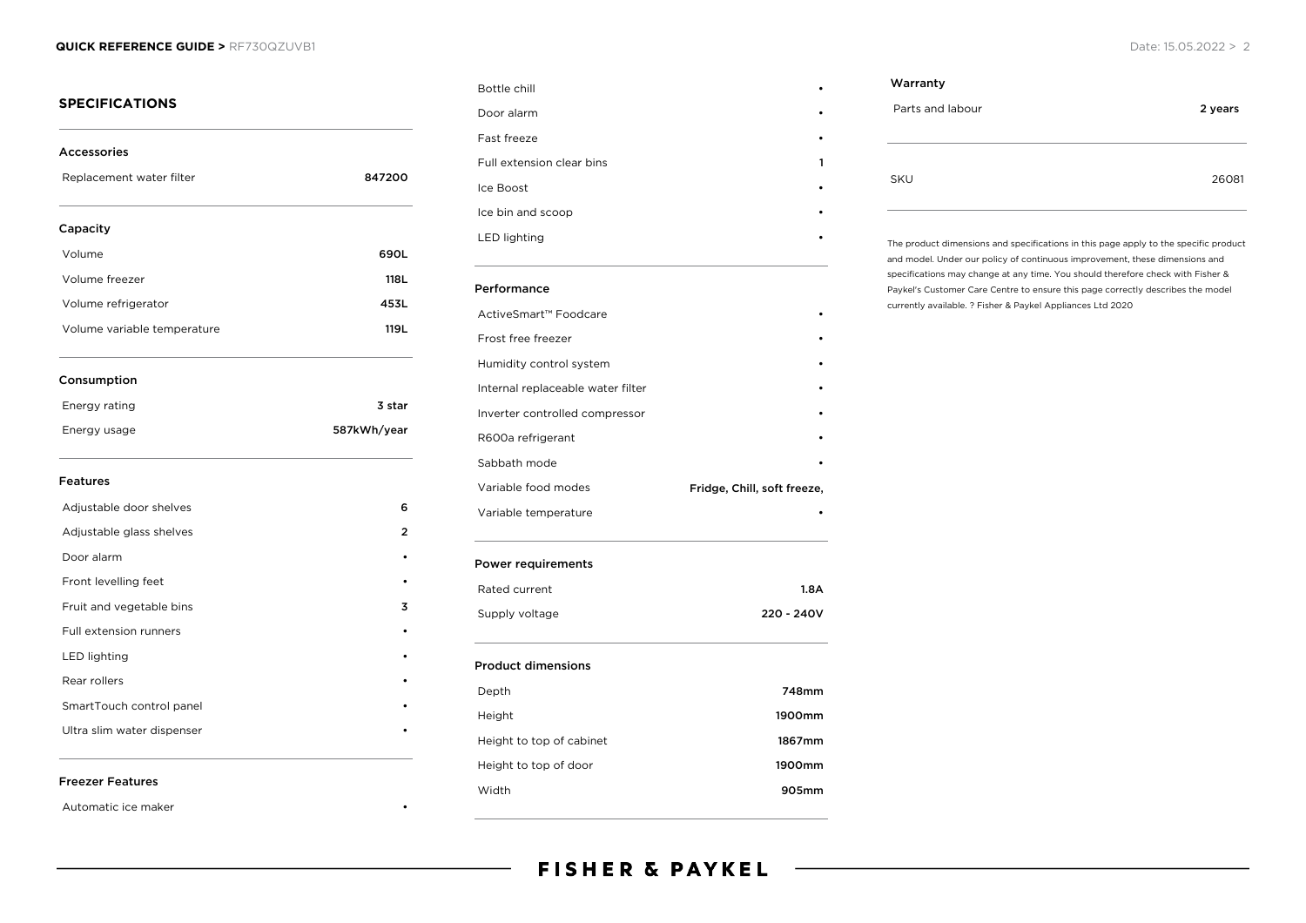#### **QUICK REFERENCE GUIDE >** RF730QZUVB1 Date: 15.05.2022 > 2

| <b>Accessories</b>          |             |
|-----------------------------|-------------|
| Replacement water filter    | 847200      |
| Capacity                    |             |
| Volume                      | 690L        |
| Volume freezer              | 118L        |
| Volume refrigerator         | 453L        |
| Volume variable temperature | 119L        |
| Consumption                 |             |
| Energy rating               | 3 star      |
| Energy usage                | 587kWh/year |
| <b>Features</b>             |             |
| Adjustable door shelves     | 6           |
| Adjustable glass shelves    | 2           |
| Door alarm                  |             |
| Front levelling feet        |             |
| Fruit and vegetable bins    | 3           |
| Full extension runners      |             |
| <b>LED lighting</b>         |             |
| Rear rollers                |             |
| SmartTouch control panel    |             |
|                             |             |

| Bottle chill                      |                             |
|-----------------------------------|-----------------------------|
| Door alarm                        |                             |
| Fast freeze                       |                             |
| Full extension clear bins         | 1                           |
| Ice Boost                         |                             |
| Ice bin and scoop                 |                             |
| <b>LED lighting</b>               |                             |
| Performance                       |                             |
| ActiveSmart™ Foodcare             |                             |
| Frost free freezer                |                             |
| Humidity control system           |                             |
| Internal replaceable water filter |                             |
| Inverter controlled compressor    |                             |
| R600a refrigerant                 |                             |
| Sabbath mode                      |                             |
| Variable food modes               | Fridge, Chill, soft freeze, |
| Variable temperature              |                             |
| <b>Power requirements</b>         |                             |
| Rated current                     | 1.8A                        |

# Warranty Parts and labour 2 years 2 years SKU 26081

The product dimensions and specifications in this page apply to the specific product and model. Under our policy of continuous improvement, these dimensions and specifications may change at any time. You should therefore check with Fisher & Paykel's Customer Care Centre to ensure this page correctly describes the model currently available. ? Fisher & Paykel Appliances Ltd 2020

#### Freezer Features

Automatic ice maker

Supply voltage 220 - 240V

Depth 748mm Height 1900mm Height to top of cabinet 1867mm Height to top of door **1900mm** Width 905mm

Product dimensions